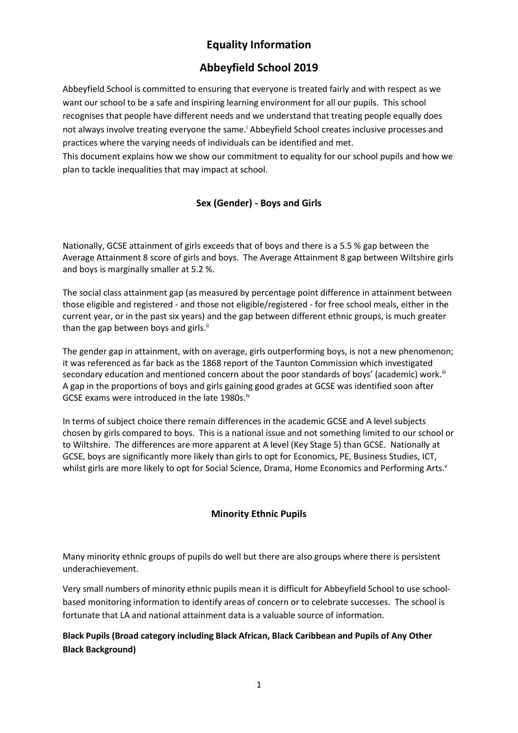# **Equality Information**

# **Abbeyfield School 2019**

Abbeyfield School is committed to ensuring that everyone is treated fairly and with respect as we want our school to be a safe and inspiring learning environment for all our pupils. This school recognises that people have different needs and we understand that treating people equally does not always involve treating everyone the same.<sup>i</sup> Abbeyfield School creates inclusive processes and practices where the varying needs of individuals can be identified and met.

This document explains how we show our commitment to equality for our school pupils and how we plan to tackle inequalities that may impact at school.

# **Sex (Gender) - Boys and Girls**

Nationally, GCSE attainment of girls exceeds that of boys and there is a 5.5 % gap between the Average Attainment 8 score of girls and boys. The Average Attainment 8 gap between Wiltshire girls and boys is marginally smaller at 5.2 %.

The social class attainment gap (as measured by percentage point difference in attainment between those eligible and registered - and those not eligible/registered - for free school meals, either in the current year, or in the past six years) and the gap between different ethnic groups, is much greater than the gap between boys and girls.<sup>ii</sup>

The gender gap in attainment, with on average, girls outperforming boys, is not a new phenomenon; it was referenced as far back as the 1868 report of the Taunton Commission which investigated secondary education and mentioned concern about the poor standards of boys' (academic) work.<sup>iii</sup> A gap in the proportions of boys and girls gaining good grades at GCSE was identified soon after GCSE exams were introduced in the late 1980s.<sup>iv</sup>

In terms of subject choice there remain differences in the academic GCSE and A level subjects chosen by girls compared to boys. This is a national issue and not something limited to our school or to Wiltshire. The differences are more apparent at A level (Key Stage 5) than GCSE. Nationally at GCSE, boys are significantly more likely than girls to opt for Economics, PE, Business Studies, ICT, whilst girls are more likely to opt for Social Science, Drama, Home Economics and Performing Arts.<sup>v</sup>

## **Minority Ethnic Pupils**

Many minority ethnic groups of pupils do well but there are also groups where there is persistent underachievement.

Very small numbers of minority ethnic pupils mean it is difficult for Abbeyfield School to use schoolbased monitoring information to identify areas of concern or to celebrate successes. The school is fortunate that LA and national attainment data is a valuable source of information.

## **Black Pupils (Broad category including Black African, Black Caribbean and Pupils of Any Other Black Background)**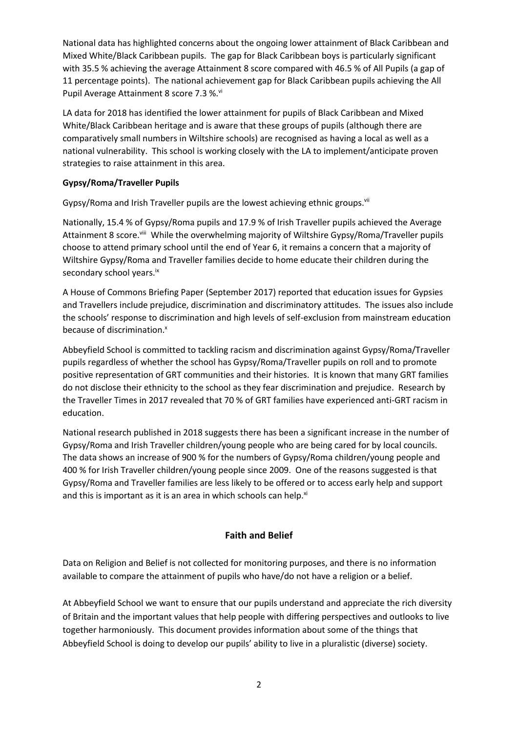National data has highlighted concerns about the ongoing lower attainment of Black Caribbean and Mixed White/Black Caribbean pupils. The gap for Black Caribbean boys is particularly significant with 35.5 % achieving the average Attainment 8 score compared with 46.5 % of All Pupils (a gap of 11 percentage points). The national achievement gap for Black Caribbean pupils achieving the All Pupil Average Attainment 8 score 7.3 %.<sup>vi</sup>

LA data for 2018 has identified the lower attainment for pupils of Black Caribbean and Mixed White/Black Caribbean heritage and is aware that these groups of pupils (although there are comparatively small numbers in Wiltshire schools) are recognised as having a local as well as a national vulnerability. This school is working closely with the LA to implement/anticipate proven strategies to raise attainment in this area.

### **Gypsy/Roma/Traveller Pupils**

Gypsy/Roma and Irish Traveller pupils are the lowest achieving ethnic groups.<sup>vii</sup>

Nationally, 15.4 % of Gypsy/Roma pupils and 17.9 % of Irish Traveller pupils achieved the Average Attainment 8 score.<sup>viii</sup> While the overwhelming majority of Wiltshire Gypsy/Roma/Traveller pupils choose to attend primary school until the end of Year 6, it remains a concern that a majority of Wiltshire Gypsy/Roma and Traveller families decide to home educate their children during the secondary school years.<sup>ix</sup>

A House of Commons Briefing Paper (September 2017) reported that education issues for Gypsies and Travellers include prejudice, discrimination and discriminatory attitudes. The issues also include the schools' response to discrimination and high levels of self-exclusion from mainstream education because of discrimination.<sup>x</sup>

Abbeyfield School is committed to tackling racism and discrimination against Gypsy/Roma/Traveller pupils regardless of whether the school has Gypsy/Roma/Traveller pupils on roll and to promote positive representation of GRT communities and their histories. It is known that many GRT families do not disclose their ethnicity to the school as they fear discrimination and prejudice. Research by the Traveller Times in 2017 revealed that 70 % of GRT families have experienced anti-GRT racism in education.

National research published in 2018 suggests there has been a significant increase in the number of Gypsy/Roma and Irish Traveller children/young people who are being cared for by local councils. The data shows an increase of 900 % for the numbers of Gypsy/Roma children/young people and 400 % for Irish Traveller children/young people since 2009. One of the reasons suggested is that Gypsy/Roma and Traveller families are less likely to be offered or to access early help and support and this is important as it is an area in which schools can help. $x_i$ 

## **Faith and Belief**

Data on Religion and Belief is not collected for monitoring purposes, and there is no information available to compare the attainment of pupils who have/do not have a religion or a belief.

At Abbeyfield School we want to ensure that our pupils understand and appreciate the rich diversity of Britain and the important values that help people with differing perspectives and outlooks to live together harmoniously. This document provides information about some of the things that Abbeyfield School is doing to develop our pupils' ability to live in a pluralistic (diverse) society.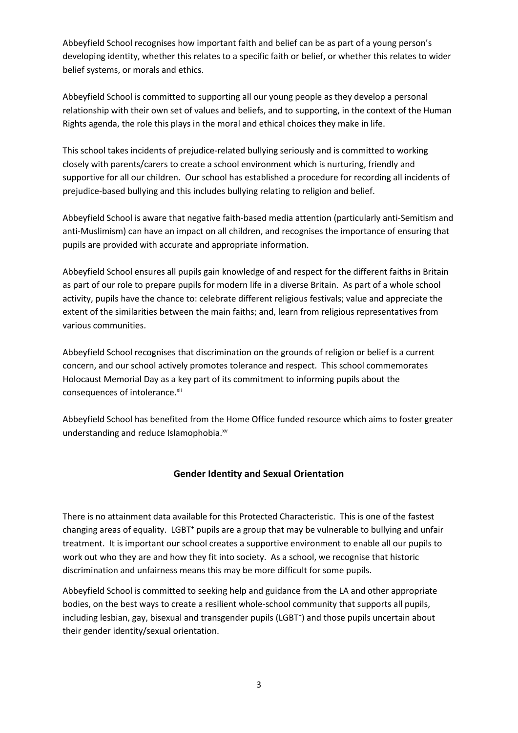Abbeyfield School recognises how important faith and belief can be as part of a young person's developing identity, whether this relates to a specific faith or belief, or whether this relates to wider belief systems, or morals and ethics.

Abbeyfield School is committed to supporting all our young people as they develop a personal relationship with their own set of values and beliefs, and to supporting, in the context of the Human Rights agenda, the role this plays in the moral and ethical choices they make in life.

This school takes incidents of prejudice-related bullying seriously and is committed to working closely with parents/carers to create a school environment which is nurturing, friendly and supportive for all our children. Our school has established a procedure for recording all incidents of prejudice-based bullying and this includes bullying relating to religion and belief.

Abbeyfield School is aware that negative faith-based media attention (particularly anti-Semitism and anti-Muslimism) can have an impact on all children, and recognises the importance of ensuring that pupils are provided with accurate and appropriate information.

Abbeyfield School ensures all pupils gain knowledge of and respect for the different faiths in Britain as part of our role to prepare pupils for modern life in a diverse Britain. As part of a whole school activity, pupils have the chance to: celebrate different religious festivals; value and appreciate the extent of the similarities between the main faiths; and, learn from religious representatives from various communities.

Abbeyfield School recognises that discrimination on the grounds of religion or belief is a current concern, and our school actively promotes tolerance and respect. This school commemorates Holocaust Memorial Day as a key part of its commitment to informing pupils about the consequences of intolerance.xii

Abbeyfield School has benefited from the Home Office funded resource which aims to foster greater understanding and reduce Islamophobia.xv

## **Gender Identity and Sexual Orientation**

There is no attainment data available for this Protected Characteristic. This is one of the fastest changing areas of equality. LGBT<sup>+</sup> pupils are a group that may be vulnerable to bullying and unfair treatment. It is important our school creates a supportive environment to enable all our pupils to work out who they are and how they fit into society. As a school, we recognise that historic discrimination and unfairness means this may be more difficult for some pupils.

Abbeyfield School is committed to seeking help and guidance from the LA and other appropriate bodies, on the best ways to create a resilient whole-school community that supports all pupils, including lesbian, gay, bisexual and transgender pupils (LGBT<sup>+</sup>) and those pupils uncertain about their gender identity/sexual orientation.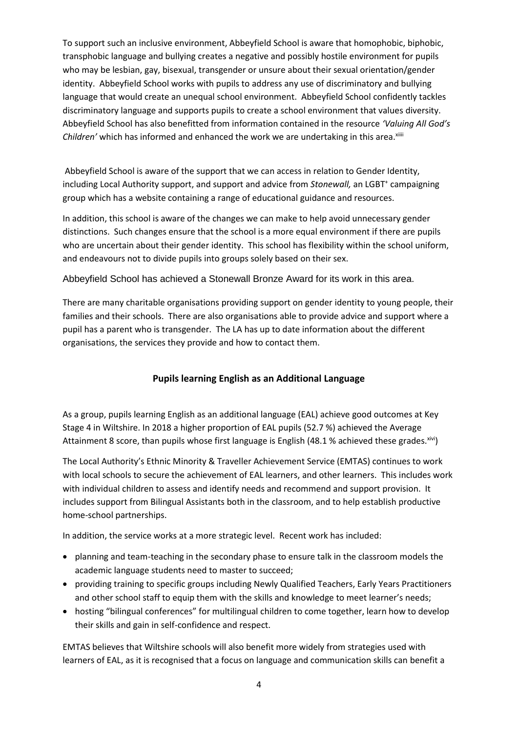To support such an inclusive environment, Abbeyfield School is aware that homophobic, biphobic, transphobic language and bullying creates a negative and possibly hostile environment for pupils who may be lesbian, gay, bisexual, transgender or unsure about their sexual orientation/gender identity. Abbeyfield School works with pupils to address any use of discriminatory and bullying language that would create an unequal school environment. Abbeyfield School confidently tackles discriminatory language and supports pupils to create a school environment that values diversity. Abbeyfield School has also benefitted from information contained in the resource *'Valuing All God's Children'* which has informed and enhanced the work we are undertaking in this area.<sup>xiiii</sup>

Abbeyfield School is aware of the support that we can access in relation to Gender Identity, including Local Authority support, and support and advice from Stonewall, an LGBT<sup>+</sup> campaigning group which has a website containing a range of educational guidance and resources.

In addition, this school is aware of the changes we can make to help avoid unnecessary gender distinctions. Such changes ensure that the school is a more equal environment if there are pupils who are uncertain about their gender identity. This school has flexibility within the school uniform, and endeavours not to divide pupils into groups solely based on their sex.

Abbeyfield School has achieved a Stonewall Bronze Award for its work in this area.

There are many charitable organisations providing support on gender identity to young people, their families and their schools. There are also organisations able to provide advice and support where a pupil has a parent who is transgender. The LA has up to date information about the different organisations, the services they provide and how to contact them.

## **Pupils learning English as an Additional Language**

As a group, pupils learning English as an additional language (EAL) achieve good outcomes at Key Stage 4 in Wiltshire. In 2018 a higher proportion of EAL pupils (52.7 %) achieved the Average Attainment 8 score, than pupils whose first language is English (48.1 % achieved these grades. Xivi)

The Local Authority's Ethnic Minority & Traveller Achievement Service (EMTAS) continues to work with local schools to secure the achievement of EAL learners, and other learners. This includes work with individual children to assess and identify needs and recommend and support provision. It includes support from Bilingual Assistants both in the classroom, and to help establish productive home-school partnerships.

In addition, the service works at a more strategic level. Recent work has included:

- planning and team-teaching in the secondary phase to ensure talk in the classroom models the academic language students need to master to succeed;
- providing training to specific groups including Newly Qualified Teachers, Early Years Practitioners and other school staff to equip them with the skills and knowledge to meet learner's needs;
- hosting "bilingual conferences" for multilingual children to come together, learn how to develop their skills and gain in self-confidence and respect.

EMTAS believes that Wiltshire schools will also benefit more widely from strategies used with learners of EAL, as it is recognised that a focus on language and communication skills can benefit a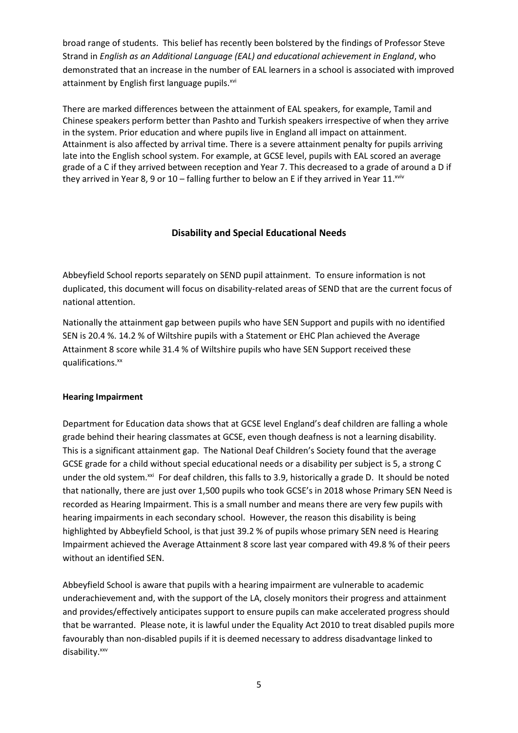broad range of students. This belief has recently been bolstered by the findings of Professor Steve Strand in *English as an Additional Language (EAL) and educational achievement in England*, who demonstrated that an increase in the number of EAL learners in a school is associated with improved attainment by English first language pupils.<sup>xvi</sup>

There are marked differences between the attainment of EAL speakers, for example, Tamil and Chinese speakers perform better than Pashto and Turkish speakers irrespective of when they arrive in the system. Prior education and where pupils live in England all impact on attainment. Attainment is also affected by arrival time. There is a severe attainment penalty for pupils arriving late into the English school system. For example, at GCSE level, pupils with EAL scored an average grade of a C if they arrived between reception and Year 7. This decreased to a grade of around a D if they arrived in Year 8, 9 or 10 – falling further to below an E if they arrived in Year 11. $^{xviv}$ 

## **Disability and Special Educational Needs**

Abbeyfield School reports separately on SEND pupil attainment. To ensure information is not duplicated, this document will focus on disability-related areas of SEND that are the current focus of national attention.

Nationally the attainment gap between pupils who have SEN Support and pupils with no identified SEN is 20.4 %. 14.2 % of Wiltshire pupils with a Statement or EHC Plan achieved the Average Attainment 8 score while 31.4 % of Wiltshire pupils who have SEN Support received these qualifications.<sup>xx</sup>

#### **Hearing Impairment**

Department for Education data shows that at GCSE level England's deaf children are falling a whole grade behind their hearing classmates at GCSE, even though deafness is not a learning disability. This is a significant attainment gap. The National Deaf Children's Society found that the average GCSE grade for a child without special educational needs or a disability per subject is 5, a strong C under the old system.<sup>xxi</sup> For deaf children, this falls to 3.9, historically a grade D. It should be noted that nationally, there are just over 1,500 pupils who took GCSE's in 2018 whose Primary SEN Need is recorded as Hearing Impairment. This is a small number and means there are very few pupils with hearing impairments in each secondary school. However, the reason this disability is being highlighted by Abbeyfield School, is that just 39.2 % of pupils whose primary SEN need is Hearing Impairment achieved the Average Attainment 8 score last year compared with 49.8 % of their peers without an identified SEN.

Abbeyfield School is aware that pupils with a hearing impairment are vulnerable to academic underachievement and, with the support of the LA, closely monitors their progress and attainment and provides/effectively anticipates support to ensure pupils can make accelerated progress should that be warranted. Please note, it is lawful under the Equality Act 2010 to treat disabled pupils more favourably than non-disabled pupils if it is deemed necessary to address disadvantage linked to disability.<sup>xxv</sup>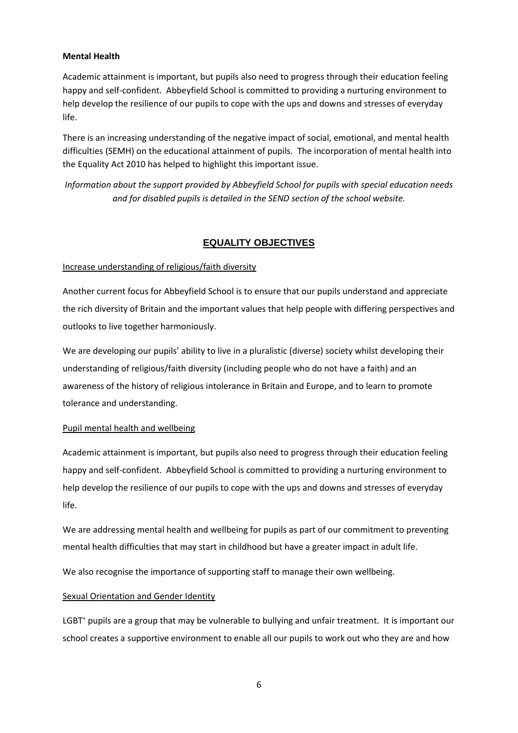#### **Mental Health**

Academic attainment is important, but pupils also need to progress through their education feeling happy and self-confident. Abbeyfield School is committed to providing a nurturing environment to help develop the resilience of our pupils to cope with the ups and downs and stresses of everyday life.

There is an increasing understanding of the negative impact of social, emotional, and mental health difficulties (SEMH) on the educational attainment of pupils. The incorporation of mental health into the Equality Act 2010 has helped to highlight this important issue.

*Information about the support provided by Abbeyfield School for pupils with special education needs and for disabled pupils is detailed in the SEND section of the school website.*

## **EQUALITY OBJECTIVES**

#### Increase understanding of religious/faith diversity

Another current focus for Abbeyfield School is to ensure that our pupils understand and appreciate the rich diversity of Britain and the important values that help people with differing perspectives and outlooks to live together harmoniously.

We are developing our pupils' ability to live in a pluralistic (diverse) society whilst developing their understanding of religious/faith diversity (including people who do not have a faith) and an awareness of the history of religious intolerance in Britain and Europe, and to learn to promote tolerance and understanding.

#### Pupil mental health and wellbeing

Academic attainment is important, but pupils also need to progress through their education feeling happy and self-confident. Abbeyfield School is committed to providing a nurturing environment to help develop the resilience of our pupils to cope with the ups and downs and stresses of everyday life.

We are addressing mental health and wellbeing for pupils as part of our commitment to preventing mental health difficulties that may start in childhood but have a greater impact in adult life.

We also recognise the importance of supporting staff to manage their own wellbeing.

#### Sexual Orientation and Gender Identity

LGBT<sup>+</sup> pupils are a group that may be vulnerable to bullying and unfair treatment. It is important our school creates a supportive environment to enable all our pupils to work out who they are and how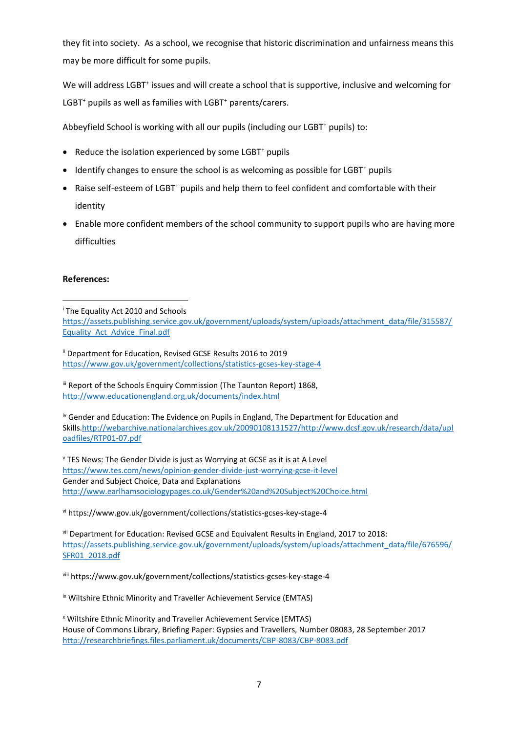they fit into society. As a school, we recognise that historic discrimination and unfairness means this may be more difficult for some pupils.

We will address LGBT<sup>+</sup> issues and will create a school that is supportive, inclusive and welcoming for LGBT<sup>+</sup> pupils as well as families with LGBT<sup>+</sup> parents/carers.

Abbeyfield School is working with all our pupils (including our LGBT<sup>+</sup> pupils) to:

- Reduce the isolation experienced by some LGBT<sup>+</sup> pupils
- Identify changes to ensure the school is as welcoming as possible for LGBT<sup>+</sup> pupils
- Raise self-esteem of LGBT<sup>+</sup> pupils and help them to feel confident and comfortable with their identity
- Enable more confident members of the school community to support pupils who are having more difficulties

#### **References:**

1

<sup>i</sup> The Equality Act 2010 and Schools [https://assets.publishing.service.gov.uk/government/uploads/system/uploads/attachment\\_data/file/315587/](https://assets.publishing.service.gov.uk/government/uploads/system/uploads/attachment_data/file/315587/Equality_Act_Advice_Final.pdf) [Equality\\_Act\\_Advice\\_Final.pdf](https://assets.publishing.service.gov.uk/government/uploads/system/uploads/attachment_data/file/315587/Equality_Act_Advice_Final.pdf)

ii Department for Education, Revised GCSE Results 2016 to 2019 <https://www.gov.uk/government/collections/statistics-gcses-key-stage-4>

iii Report of the Schools Enquiry Commission (The Taunton Report) 1868, <http://www.educationengland.org.uk/documents/index.html>

iv Gender and Education: The Evidence on Pupils in England, The Department for Education and Skills[.http://webarchive.nationalarchives.gov.uk/20090108131527/http://www.dcsf.gov.uk/research/data/upl](http://webarchive.nationalarchives.gov.uk/20090108131527/http:/www.dcsf.gov.uk/research/data/uploadfiles/RTP01-07.pdf) [oadfiles/RTP01-07.pdf](http://webarchive.nationalarchives.gov.uk/20090108131527/http:/www.dcsf.gov.uk/research/data/uploadfiles/RTP01-07.pdf)

<sup>v</sup> TES News: The Gender Divide is just as Worrying at GCSE as it is at A Level <https://www.tes.com/news/opinion-gender-divide-just-worrying-gcse-it-level> Gender and Subject Choice, Data and Explanations <http://www.earlhamsociologypages.co.uk/Gender%20and%20Subject%20Choice.html>

vi https://www.gov.uk/government/collections/statistics-gcses-key-stage-4

vii Department for Education: Revised GCSE and Equivalent Results in England, 2017 to 2018: [https://assets.publishing.service.gov.uk/government/uploads/system/uploads/attachment\\_data/file/676596/](https://assets.publishing.service.gov.uk/government/uploads/system/uploads/attachment_data/file/676596/SFR01_2018.pdf) [SFR01\\_2018.pdf](https://assets.publishing.service.gov.uk/government/uploads/system/uploads/attachment_data/file/676596/SFR01_2018.pdf)

viii https://www.gov.uk/government/collections/statistics-gcses-key-stage-4

ix Wiltshire Ethnic Minority and Traveller Achievement Service (EMTAS)

<sup>x</sup> Wiltshire Ethnic Minority and Traveller Achievement Service (EMTAS) House of Commons Library, Briefing Paper: Gypsies and Travellers, Number 08083, 28 September 2017 <http://researchbriefings.files.parliament.uk/documents/CBP-8083/CBP-8083.pdf>